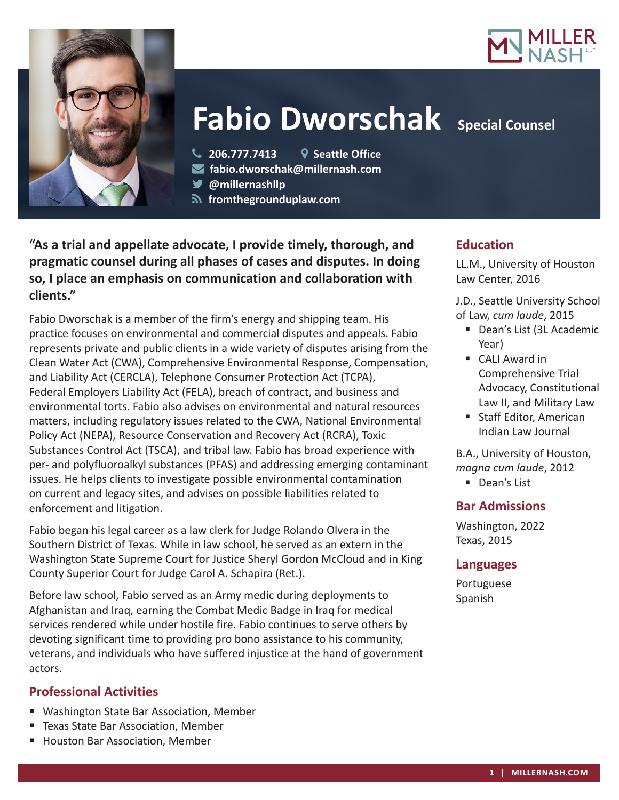



# **Fabio Dworschak** Special Counsel

- **206.777.7413 Seattle Office**
- **fabio.dworschak@millernash.com**
- **@millernashllp**
- **fromthegrounduplaw.com**

**"As a trial and appellate advocate, I provide timely, thorough, and pragmatic counsel during all phases of cases and disputes. In doing so, I place an emphasis on communication and collaboration with clients."**

Fabio Dworschak is a member of the firm's energy and shipping team. His practice focuses on environmental and commercial disputes and appeals. Fabio represents private and public clients in a wide variety of disputes arising from the Clean Water Act (CWA), Comprehensive Environmental Response, Compensation, and Liability Act (CERCLA), Telephone Consumer Protection Act (TCPA), Federal Employers Liability Act (FELA), breach of contract, and business and environmental torts. Fabio also advises on environmental and natural resources matters, including regulatory issues related to the CWA, National Environmental Policy Act (NEPA), Resource Conservation and Recovery Act (RCRA), Toxic Substances Control Act (TSCA), and tribal law. Fabio has broad experience with per- and polyfluoroalkyl substances (PFAS) and addressing emerging contaminant issues. He helps clients to investigate possible environmental contamination on current and legacy sites, and advises on possible liabilities related to enforcement and litigation.

Fabio began his legal career as a law clerk for Judge Rolando Olvera in the Southern District of Texas. While in law school, he served as an extern in the Washington State Supreme Court for Justice Sheryl Gordon McCloud and in King County Superior Court for Judge Carol A. Schapira (Ret.).

Before law school, Fabio served as an Army medic during deployments to Afghanistan and Iraq, earning the Combat Medic Badge in Iraq for medical services rendered while under hostile fire. Fabio continues to serve others by devoting significant time to providing pro bono assistance to his community, veterans, and individuals who have suffered injustice at the hand of government actors.

# **Professional Activities**

- Washington State Bar Association, Member
- **Texas State Bar Association, Member**
- **Houston Bar Association, Member**

# **Education**

LL.M., University of Houston Law Center, 2016

J.D., Seattle University School of Law, *cum laude*, 2015

- Dean's List (3L Academic Year)
- CALI Award in Comprehensive Trial Advocacy, Constitutional Law II, and Military Law
- Staff Editor, American Indian Law Journal

B.A., University of Houston, *magna cum laude*, 2012

Dean's List

## **Bar Admissions**

Washington, 2022 Texas, 2015

## **Languages**

Portuguese Spanish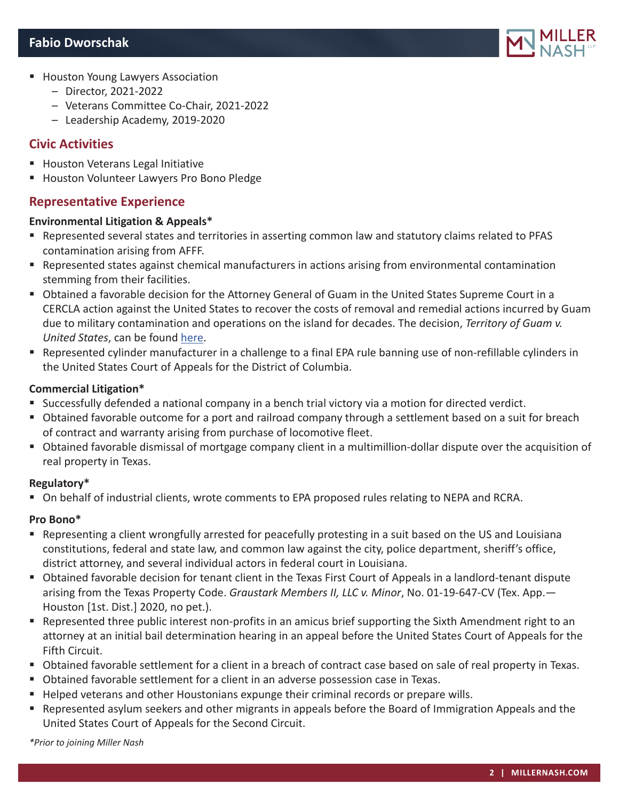

- **Houston Young Lawyers Association** 
	- Director, 2021-2022
	- Veterans Committee Co-Chair, 2021-2022
	- Leadership Academy, 2019-2020

## **Civic Activities**

- **Houston Veterans Legal Initiative**
- **Houston Volunteer Lawyers Pro Bono Pledge**

## **Representative Experience**

#### **Environmental Litigation & Appeals\***

- Represented several states and territories in asserting common law and statutory claims related to PFAS contamination arising from AFFF.
- Represented states against chemical manufacturers in actions arising from environmental contamination stemming from their facilities.
- Obtained a favorable decision for the Attorney General of Guam in the United States Supreme Court in a CERCLA action against the United States to recover the costs of removal and remedial actions incurred by Guam due to military contamination and operations on the island for decades. The decision, *Territory of Guam v. United States*, can be found here.
- Represented cylinder manufacturer in a challenge to a final EPA rule banning use of non-refillable cylinders in the United States Court of Appeals for the District of Columbia.

#### **Commercial Litigation\***

- Successfully defended a national company in a bench trial victory via a motion for directed verdict.
- Obtained favorable outcome for a port and railroad company through a settlement based on a suit for breach of contract and warranty arising from purchase of locomotive fleet.
- Obtained favorable dismissal of mortgage company client in a multimillion-dollar dispute over the acquisition of real property in Texas.

#### **Regulatory\***

On behalf of industrial clients, wrote comments to EPA proposed rules relating to NEPA and RCRA.

#### **Pro Bono\***

- Representing a client wrongfully arrested for peacefully protesting in a suit based on the US and Louisiana constitutions, federal and state law, and common law against the city, police department, sheriff's office, district attorney, and several individual actors in federal court in Louisiana.
- Obtained favorable decision for tenant client in the Texas First Court of Appeals in a landlord-tenant dispute arising from the Texas Property Code. *Graustark Members II, LLC v. Minor*, No. 01-19-647-CV (Tex. App.— Houston [1st. Dist.] 2020, no pet.).
- Represented three public interest non-profits in an amicus brief supporting the Sixth Amendment right to an attorney at an initial bail determination hearing in an appeal before the United States Court of Appeals for the Fifth Circuit.
- Obtained favorable settlement for a client in a breach of contract case based on sale of real property in Texas.
- Obtained favorable settlement for a client in an adverse possession case in Texas.
- Helped veterans and other Houstonians expunge their criminal records or prepare wills.
- Represented asylum seekers and other migrants in appeals before the Board of Immigration Appeals and the United States Court of Appeals for the Second Circuit.

*\*Prior to joining Miller Nash*